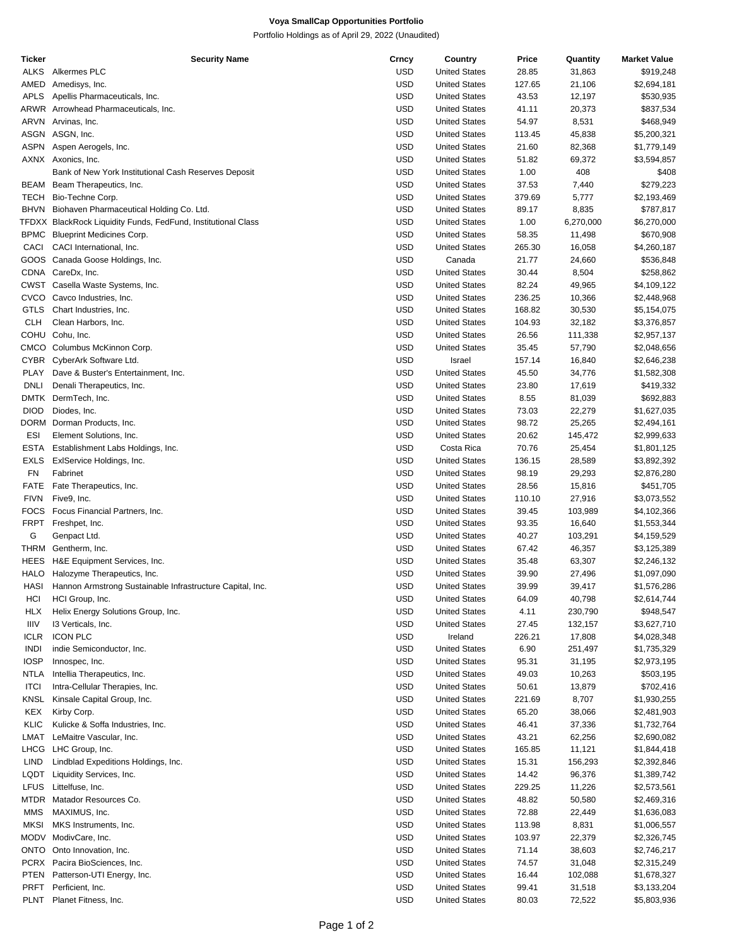## **Voya SmallCap Opportunities Portfolio**

Portfolio Holdings as of April 29, 2022 (Unaudited)

| Ticker      | <b>Security Name</b>                                          | Crncy      | Country              | Price  | Quantity  | <b>Market Value</b> |
|-------------|---------------------------------------------------------------|------------|----------------------|--------|-----------|---------------------|
| <b>ALKS</b> | Alkermes PLC                                                  | <b>USD</b> | <b>United States</b> | 28.85  | 31,863    | \$919,248           |
| AMED        | Amedisys, Inc.                                                | <b>USD</b> | <b>United States</b> | 127.65 | 21,106    | \$2,694,181         |
| <b>APLS</b> | Apellis Pharmaceuticals, Inc.                                 | <b>USD</b> | <b>United States</b> | 43.53  | 12,197    | \$530,935           |
|             |                                                               |            |                      |        |           |                     |
|             | ARWR Arrowhead Pharmaceuticals, Inc.                          | <b>USD</b> | <b>United States</b> | 41.11  | 20,373    | \$837,534           |
| ARVN        | Arvinas, Inc.                                                 | <b>USD</b> | <b>United States</b> | 54.97  | 8,531     | \$468,949           |
|             | ASGN ASGN, Inc.                                               | <b>USD</b> | <b>United States</b> | 113.45 | 45,838    | \$5,200,321         |
| <b>ASPN</b> | Aspen Aerogels, Inc.                                          | <b>USD</b> | <b>United States</b> | 21.60  | 82,368    | \$1,779,149         |
|             | AXNX Axonics, Inc.                                            | <b>USD</b> | <b>United States</b> | 51.82  | 69,372    | \$3,594,857         |
|             | Bank of New York Institutional Cash Reserves Deposit          | <b>USD</b> | <b>United States</b> | 1.00   | 408       | \$408               |
| BEAM        | Beam Therapeutics, Inc.                                       | <b>USD</b> | <b>United States</b> | 37.53  | 7,440     | \$279,223           |
|             |                                                               |            |                      |        |           |                     |
| TECH        | Bio-Techne Corp.                                              | <b>USD</b> | <b>United States</b> | 379.69 | 5,777     | \$2,193,469         |
| <b>BHVN</b> | Biohaven Pharmaceutical Holding Co. Ltd.                      | <b>USD</b> | <b>United States</b> | 89.17  | 8,835     | \$787,817           |
|             | TFDXX BlackRock Liquidity Funds, FedFund, Institutional Class | <b>USD</b> | <b>United States</b> | 1.00   | 6,270,000 | \$6,270,000         |
| <b>BPMC</b> | <b>Blueprint Medicines Corp.</b>                              | <b>USD</b> | <b>United States</b> | 58.35  | 11,498    | \$670,908           |
| CACI        | CACI International, Inc.                                      | <b>USD</b> | <b>United States</b> | 265.30 | 16,058    | \$4,260,187         |
|             | GOOS Canada Goose Holdings, Inc.                              | <b>USD</b> | Canada               | 21.77  | 24,660    | \$536,848           |
|             |                                                               |            |                      |        |           |                     |
|             | CDNA CareDx, Inc.                                             | <b>USD</b> | <b>United States</b> | 30.44  | 8,504     | \$258,862           |
|             | CWST Casella Waste Systems, Inc.                              | <b>USD</b> | <b>United States</b> | 82.24  | 49,965    | \$4,109,122         |
| CVCO        | Cavco Industries, Inc.                                        | <b>USD</b> | <b>United States</b> | 236.25 | 10,366    | \$2,448,968         |
| <b>GTLS</b> | Chart Industries, Inc.                                        | <b>USD</b> | <b>United States</b> | 168.82 | 30,530    | \$5,154,075         |
| <b>CLH</b>  | Clean Harbors, Inc.                                           | <b>USD</b> | <b>United States</b> | 104.93 | 32,182    | \$3,376,857         |
| <b>COHU</b> | Cohu, Inc.                                                    | <b>USD</b> | <b>United States</b> | 26.56  | 111,338   | \$2,957,137         |
|             |                                                               |            |                      |        |           |                     |
| CMCO        | Columbus McKinnon Corp.                                       | <b>USD</b> | <b>United States</b> | 35.45  | 57,790    | \$2,048,656         |
| <b>CYBR</b> | CyberArk Software Ltd.                                        | <b>USD</b> | Israel               | 157.14 | 16,840    | \$2,646,238         |
| <b>PLAY</b> | Dave & Buster's Entertainment, Inc.                           | <b>USD</b> | <b>United States</b> | 45.50  | 34,776    | \$1,582,308         |
| <b>DNLI</b> | Denali Therapeutics, Inc.                                     | <b>USD</b> | <b>United States</b> | 23.80  | 17,619    | \$419,332           |
| DMTK        | DermTech, Inc.                                                | <b>USD</b> | <b>United States</b> | 8.55   | 81,039    | \$692,883           |
| <b>DIOD</b> | Diodes, Inc.                                                  | <b>USD</b> | <b>United States</b> | 73.03  | 22,279    | \$1,627,035         |
|             |                                                               | <b>USD</b> |                      |        |           |                     |
|             | DORM Dorman Products, Inc.                                    |            | <b>United States</b> | 98.72  | 25,265    | \$2,494,161         |
| <b>ESI</b>  | Element Solutions, Inc.                                       | <b>USD</b> | <b>United States</b> | 20.62  | 145,472   | \$2,999,633         |
| <b>ESTA</b> | Establishment Labs Holdings, Inc.                             | <b>USD</b> | Costa Rica           | 70.76  | 25,454    | \$1,801,125         |
| <b>EXLS</b> | ExIService Holdings, Inc.                                     | <b>USD</b> | <b>United States</b> | 136.15 | 28,589    | \$3,892,392         |
| <b>FN</b>   | Fabrinet                                                      | <b>USD</b> | <b>United States</b> | 98.19  | 29,293    | \$2,876,280         |
| <b>FATE</b> | Fate Therapeutics, Inc.                                       | <b>USD</b> | <b>United States</b> | 28.56  | 15,816    | \$451,705           |
| <b>FIVN</b> |                                                               | <b>USD</b> | <b>United States</b> |        |           |                     |
|             | Five9, Inc.                                                   |            |                      | 110.10 | 27,916    | \$3,073,552         |
| <b>FOCS</b> | Focus Financial Partners, Inc.                                | <b>USD</b> | <b>United States</b> | 39.45  | 103,989   | \$4,102,366         |
| <b>FRPT</b> | Freshpet, Inc.                                                | <b>USD</b> | <b>United States</b> | 93.35  | 16,640    | \$1,553,344         |
| G           | Genpact Ltd.                                                  | <b>USD</b> | <b>United States</b> | 40.27  | 103,291   | \$4,159,529         |
| THRM        | Gentherm, Inc.                                                | <b>USD</b> | <b>United States</b> | 67.42  | 46,357    | \$3,125,389         |
| HEES        | H&E Equipment Services, Inc.                                  | <b>USD</b> | <b>United States</b> | 35.48  | 63,307    | \$2,246,132         |
| <b>HALO</b> | Halozyme Therapeutics, Inc.                                   | <b>USD</b> | <b>United States</b> | 39.90  |           | \$1,097,090         |
|             |                                                               |            |                      |        | 27,496    |                     |
| HASI        | Hannon Armstrong Sustainable Infrastructure Capital, Inc.     | <b>USD</b> | <b>United States</b> | 39.99  | 39,417    | \$1,576,286         |
| HCI         | HCI Group, Inc.                                               | <b>USD</b> | <b>United States</b> | 64.09  | 40,798    | \$2,614,744         |
| <b>HLX</b>  | Helix Energy Solutions Group, Inc.                            | USD        | <b>United States</b> | 4.11   | 230,790   | \$948,547           |
| <b>IIIV</b> | 13 Verticals, Inc.                                            | USD        | <b>United States</b> | 27.45  | 132,157   | \$3,627,710         |
| ICLR        | <b>ICON PLC</b>                                               | USD        | Ireland              | 226.21 | 17,808    | \$4,028,348         |
| <b>INDI</b> | indie Semiconductor, Inc.                                     | <b>USD</b> | <b>United States</b> | 6.90   | 251,497   | \$1,735,329         |
|             |                                                               |            |                      |        |           |                     |
| <b>IOSP</b> | Innospec, Inc.                                                | USD        | <b>United States</b> | 95.31  | 31,195    | \$2,973,195         |
| <b>NTLA</b> | Intellia Therapeutics, Inc.                                   | USD        | <b>United States</b> | 49.03  | 10,263    | \$503,195           |
| <b>ITCI</b> | Intra-Cellular Therapies, Inc.                                | USD        | <b>United States</b> | 50.61  | 13,879    | \$702,416           |
| <b>KNSL</b> | Kinsale Capital Group, Inc.                                   | <b>USD</b> | <b>United States</b> | 221.69 | 8,707     | \$1,930,255         |
| KEX         | Kirby Corp.                                                   | USD        | <b>United States</b> | 65.20  | 38,066    | \$2,481,903         |
| KLIC        | Kulicke & Soffa Industries, Inc.                              | USD        | <b>United States</b> | 46.41  | 37,336    | \$1,732,764         |
|             |                                                               |            |                      |        |           |                     |
| LMAT        | LeMaitre Vascular, Inc.                                       | USD        | <b>United States</b> | 43.21  | 62,256    | \$2,690,082         |
| LHCG        | LHC Group, Inc.                                               | USD        | <b>United States</b> | 165.85 | 11,121    | \$1,844,418         |
| LIND        | Lindblad Expeditions Holdings, Inc.                           | USD        | <b>United States</b> | 15.31  | 156,293   | \$2,392,846         |
| LQDT        | Liquidity Services, Inc.                                      | USD        | <b>United States</b> | 14.42  | 96,376    | \$1,389,742         |
| <b>LFUS</b> | Littelfuse, Inc.                                              | USD        | <b>United States</b> | 229.25 | 11,226    | \$2,573,561         |
| MTDR        | Matador Resources Co.                                         | <b>USD</b> | <b>United States</b> | 48.82  | 50,580    | \$2,469,316         |
|             |                                                               |            |                      |        |           |                     |
| MMS         | MAXIMUS, Inc.                                                 | USD        | <b>United States</b> | 72.88  | 22,449    | \$1,636,083         |
| <b>MKSI</b> | MKS Instruments, Inc.                                         | USD        | <b>United States</b> | 113.98 | 8,831     | \$1,006,557         |
|             | MODV ModivCare, Inc.                                          | USD        | <b>United States</b> | 103.97 | 22,379    | \$2,326,745         |
| ONTO        | Onto Innovation, Inc.                                         | USD        | <b>United States</b> | 71.14  | 38,603    | \$2,746,217         |
|             | PCRX Pacira BioSciences, Inc.                                 | USD        | <b>United States</b> | 74.57  | 31,048    | \$2,315,249         |
| PTEN        | Patterson-UTI Energy, Inc.                                    | USD        | <b>United States</b> | 16.44  | 102,088   | \$1,678,327         |
| PRFT        | Perficient, Inc.                                              | USD        | <b>United States</b> |        |           |                     |
|             |                                                               |            |                      | 99.41  | 31,518    | \$3,133,204         |
| PLNT        | Planet Fitness, Inc.                                          | <b>USD</b> | <b>United States</b> | 80.03  | 72,522    | \$5,803,936         |